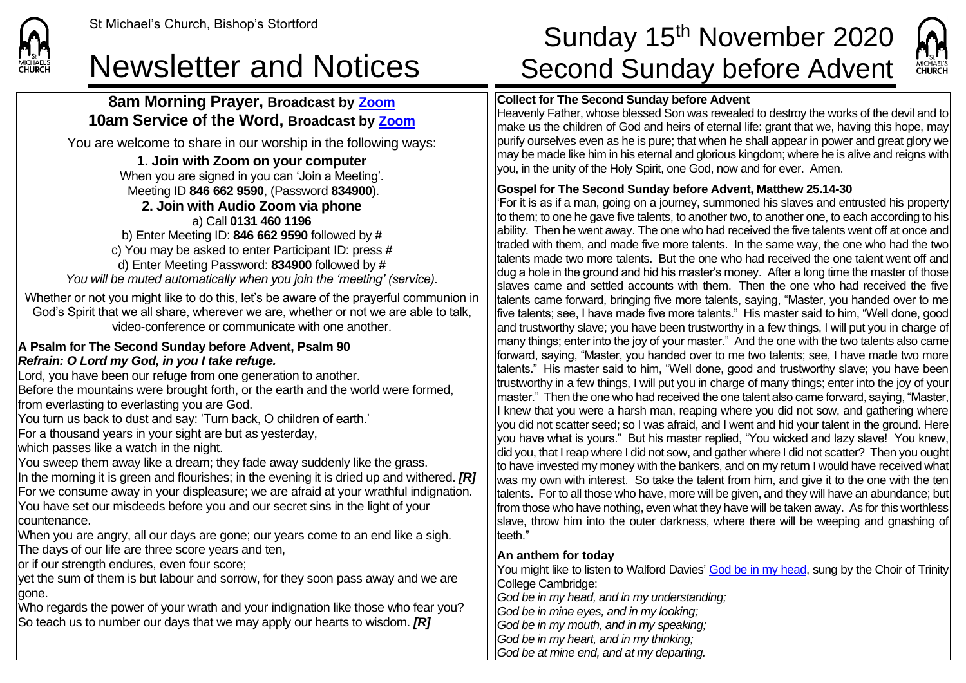### **8am Morning Prayer, Broadcast by [Zoom](https://zoom.us/) 10am Service of the Word, Broadcast by [Zoom](https://zoom.us/)**

You are welcome to share in our worship in the following ways:

### **1. Join with Zoom on your computer**

When you are signed in you can 'Join a Meeting'. Meeting ID **846 662 9590**, (Password **834900**). **2. Join with Audio Zoom via phone**  a) Call **0131 460 1196**

b) Enter Meeting ID: **846 662 9590** followed by **#** c) You may be asked to enter Participant ID: press **#** d) Enter Meeting Password: **834900** followed by **#** *You will be muted automatically when you join the 'meeting' (service).*

Whether or not you might like to do this, let's be aware of the prayerful communion in God's Spirit that we all share, wherever we are, whether or not we are able to talk, video-conference or communicate with one another.

#### **A Psalm for The Second Sunday before Advent, Psalm 90** *Refrain: O Lord my God, in you I take refuge.*

Lord, you have been our refuge from one generation to another. Before the mountains were brought forth, or the earth and the world were formed, from everlasting to everlasting you are God.

You turn us back to dust and say: 'Turn back, O children of earth.'

For a thousand years in your sight are but as yesterday,

which passes like a watch in the night.

You sweep them away like a dream; they fade away suddenly like the grass. In the morning it is green and flourishes; in the evening it is dried up and withered. *[R]* For we consume away in your displeasure; we are afraid at your wrathful indignation. You have set our misdeeds before you and our secret sins in the light of your countenance.

When you are angry, all our days are gone; our years come to an end like a sigh. The days of our life are three score years and ten,

or if our strength endures, even four score;

yet the sum of them is but labour and sorrow, for they soon pass away and we are lgone.

Who regards the power of your wrath and your indignation like those who fear you? So teach us to number our days that we may apply our hearts to wisdom. *[R]*

# St Michael's Church, Bishop's Stortford **Sunday 15<sup>th</sup> November 2020** Newsletter and Notices Second Sunday before Advent



#### **Collect for The Second Sunday before Advent**

Heavenly Father, whose blessed Son was revealed to destroy the works of the devil and to make us the children of God and heirs of eternal life: grant that we, having this hope, may purify ourselves even as he is pure; that when he shall appear in power and great glory we may be made like him in his eternal and glorious kingdom; where he is alive and reigns with you, in the unity of the Holy Spirit, one God, now and for ever. Amen.

#### **Gospel for The Second Sunday before Advent, Matthew 25.14-30**

'For it is as if a man, going on a journey, summoned his slaves and entrusted his property to them; to one he gave five talents, to another two, to another one, to each according to his ability. Then he went away. The one who had received the five talents went off at once and traded with them, and made five more talents. In the same way, the one who had the two talents made two more talents. But the one who had received the one talent went off and dug a hole in the ground and hid his master's money. After a long time the master of those slaves came and settled accounts with them. Then the one who had received the five talents came forward, bringing five more talents, saying, "Master, you handed over to me five talents; see, I have made five more talents." His master said to him, "Well done, good and trustworthy slave; you have been trustworthy in a few things, I will put you in charge of many things; enter into the joy of your master." And the one with the two talents also came forward, saying, "Master, you handed over to me two talents; see, I have made two more talents." His master said to him, "Well done, good and trustworthy slave; you have been trustworthy in a few things, I will put you in charge of many things; enter into the joy of your master." Then the one who had received the one talent also came forward, saying, "Master, I knew that you were a harsh man, reaping where you did not sow, and gathering where you did not scatter seed; so I was afraid, and I went and hid your talent in the ground. Here you have what is yours." But his master replied, "You wicked and lazy slave! You knew, did you, that I reap where I did not sow, and gather where I did not scatter? Then you ought to have invested my money with the bankers, and on my return I would have received what was my own with interest. So take the talent from him, and give it to the one with the ten talents. For to all those who have, more will be given, and they will have an abundance; but from those who have nothing, even what they have will be taken away. As for this worthless slave, throw him into the outer darkness, where there will be weeping and gnashing of teeth."

#### **An anthem for today**

You might like to listen to Walford Davies' [God be in my head,](https://www.youtube.com/watch?v=LQ5GF3gVlbc) sung by the Choir of Trinity College Cambridge: *God be in my head, and in my understanding; God be in mine eyes, and in my looking; God be in my mouth, and in my speaking; God be in my heart, and in my thinking; God be at mine end, and at my departing.*